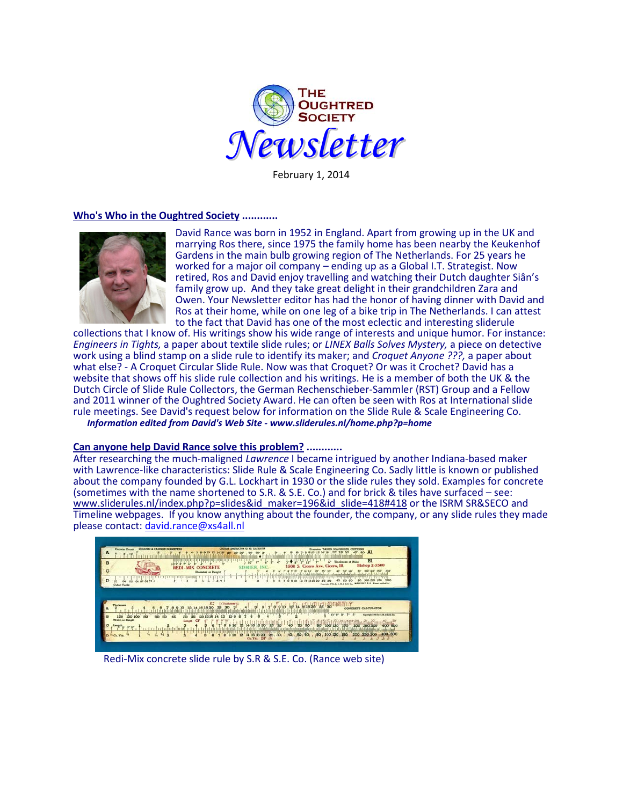

February 1, 2014

#### **Who's Who in the Oughtred Society ............**



David Rance was born in 1952 in England. Apart from growing up in the UK and marrying Ros there, since 1975 the family home has been nearby the Keukenhof Gardens in the main bulb growing region of The Netherlands. For 25 years he worked for a major oil company – ending up as a Global I.T. Strategist. Now retired, Ros and David enjoy travelling and watching their Dutch daughter Siân's family grow up. And they take great delight in their grandchildren Zara and Owen. Your Newsletter editor has had the honor of having dinner with David and Ros at their home, while on one leg of a bike trip in The Netherlands. I can attest to the fact that David has one of the most eclectic and interesting sliderule

collections that I know of. His writings show his wide range of interests and unique humor. For instance: *Engineers in Tights,* a paper about textile slide rules; or *LINEX Balls Solves Mystery,* a piece on detective work using a blind stamp on a slide rule to identify its maker; and *Croquet Anyone ???,* a paper about what else? - A Croquet Circular Slide Rule. Now was that Croquet? Or was it Crochet? David has a website that shows off his slide rule collection and his writings. He is a member of both the UK & the Dutch Circle of Slide Rule Collectors, the German Rechenschieber-Sammler (RST) Group and a Fellow and 2011 winner of the Oughtred Society Award. He can often be seen with Ros at International slide rule meetings. See David's request below for information on the Slide Rule & Scale Engineering Co.  *Information edited from David's Web Site - www.sliderules.nl/home.php?p=home*

## **Can anyone help David Rance solve this problem? ............**

After researching the much-maligned *Lawrence* I became intrigued by another Indiana-based maker with Lawrence-like characteristics: Slide Rule & Scale Engineering Co. Sadly little is known or published about the company founded by G.L. Lockhart in 1930 or the slide rules they sold. Examples for concrete (sometimes with the name shortened to S.R. & S.E. Co.) and for brick & tiles have surfaced – see: [www.sliderules.nl/index.php?p=slides&id\\_maker=196&id\\_slide=418#418](http://www.sliderules.nl/index.php?p=slides&id_maker=196&id_slide=418%23418) or the ISRM SR&SECO and Timeline webpages. If you know anything about the founder, the company, or any slide rules they made please contact: [david.rance@xs4all.nl](mailto:david.rance@xs4all.nl)

| <b>CU. YD. CALCOLATOR</b><br>Cincolas Floors<br><b>COLUMN &amp; CAISSON DEAMETERS</b><br>MANHOLES, CHITESSEL<br>学术控制系<br>AL<br>A<br>80<br>٠<br>B1<br>10.44<br>Thickness of Walls<br>B<br><b>Blshop 2-3500</b><br>S. Cicero Ave. Cicero, Ill.<br>150<br><b>ONCRETE</b><br>c<br>Diamater or Haight<br>a turn a transmit marking and<br>D<br>206<br>U. S. A. Forest seated for<br>mAGE DC<br>Cabie Tards |  |
|-------------------------------------------------------------------------------------------------------------------------------------------------------------------------------------------------------------------------------------------------------------------------------------------------------------------------------------------------------------------------------------------------------|--|
| 1.7<br><b>STRickmass</b><br>Thurboast<br><b>CONCRETE CALCULATOR</b><br>$10 - 9 -$<br><b>INS to LEARE Co.</b><br>100<br><b>RO</b><br>60<br>or Height<br>CF<br>Leogt<br>O<br>250 300<br>400<br>200<br>15000<br>25<br>30, 40, 50, 60<br>400 500<br>89 100 120 180<br>Ĥ<br>200<br>缩<br>10<br>$\theta$<br><sup>35</sup> Cu. Yda.<br>16 18 20<br>12<br>ż<br>E<br>14<br>e<br>Ca. Yda.<br>JB.                 |  |

Redi-Mix concrete slide rule by S.R & S.E. Co. (Rance web site)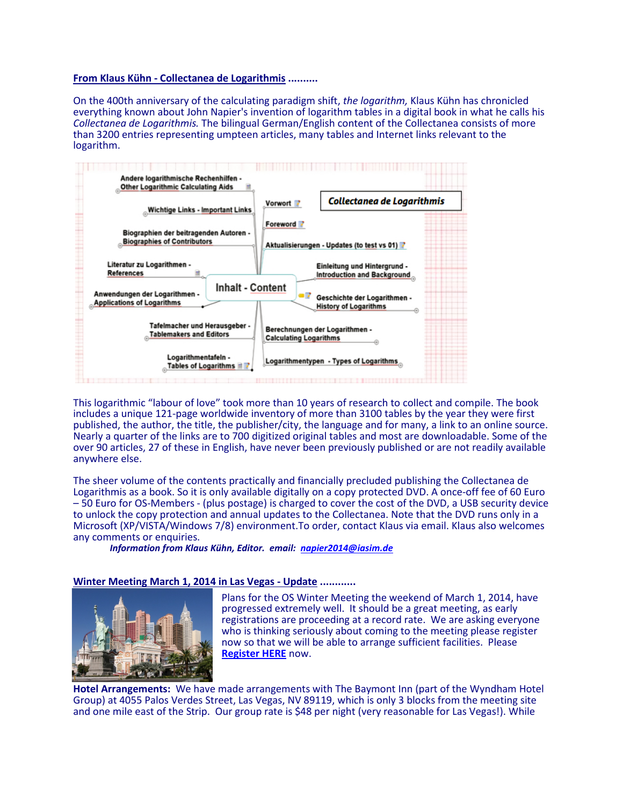### **From Klaus Kühn - Collectanea de Logarithmis ..........**

On the 400th anniversary of the calculating paradigm shift, *the logarithm,* Klaus Kühn has chronicled everything known about John Napier's invention of logarithm tables in a digital book in what he calls his *Collectanea de Logarithmis.* The bilingual German/English content of the Collectanea consists of more than 3200 entries representing umpteen articles, many tables and Internet links relevant to the logarithm.



This logarithmic "labour of love" took more than 10 years of research to collect and compile. The book includes a unique 121-page worldwide inventory of more than 3100 tables by the year they were first published, the author, the title, the publisher/city, the language and for many, a link to an online source. Nearly a quarter of the links are to 700 digitized original tables and most are downloadable. Some of the over 90 articles, 27 of these in English, have never been previously published or are not readily available anywhere else.

The sheer volume of the contents practically and financially precluded publishing the Collectanea de<br>Logarithmis as a book. So it is only available digitally on a copy protected DVD. A once-off fee of 60 Euro – 50 Euro for OS-Members - (plus postage) is charged to cover the cost of the DVD, a USB security device to unlock the copy protection and annual updates to the Collectanea. Note that the DVD runs only in a Microsoft (XP/VISTA/Windows 7/8) environment.To order, contact Klaus via email. Klaus also welcomes any comments or enquiries.

*Information from Klaus Kühn, Editor. email: [napier2014@iasim.de](mailto:napier2014@iasim.de)*

# **Winter Meeting March 1, 2014 in Las Vegas - Update ............**



Plans for the OS Winter Meeting the weekend of March 1, 2014, have progressed extremely well. It should be a great meeting, as early registrations are proceeding at a record rate. We are asking everyone who is thinking seriously about coming to the meeting please register now so that we will be able to arrange sufficient facilities. Please **[Register HERE](http://www.oughtred.org/WinterMeeting_2014.shtml)** now.

**Hotel Arrangements:** We have made arrangements with The Baymont Inn (part of the Wyndham Hotel Group) at 4055 Palos Verdes Street, Las Vegas, NV 89119, which is only 3 blocks from the meeting site and one mile east of the Strip. Our group rate is \$48 per night (very reasonable for Las Vegas!). While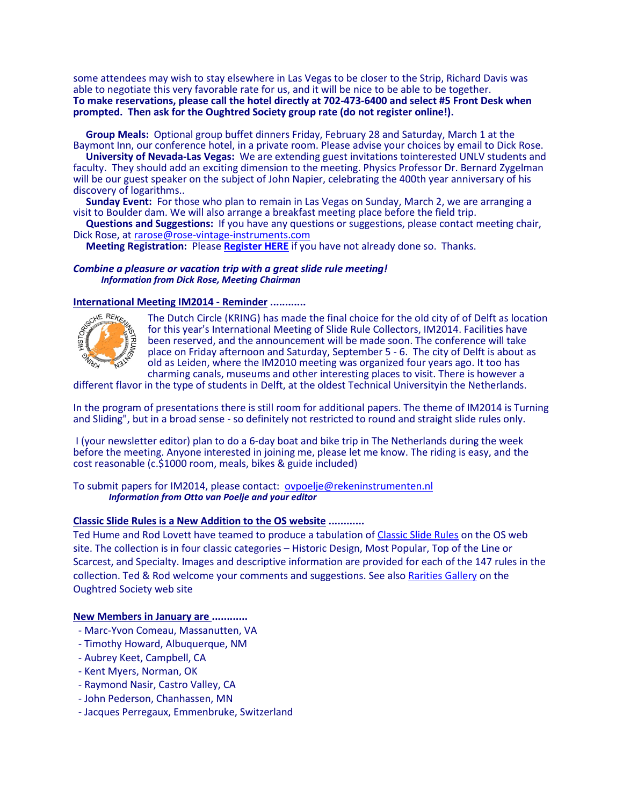some attendees may wish to stay elsewhere in Las Vegas to be closer to the Strip, Richard Davis was able to negotiate this very favorable rate for us, and it will be nice to be able to be together. **To make reservations, please call the hotel directly at 702-473-6400 and select #5 Front Desk when prompted. Then ask for the Oughtred Society group rate (do not register online!).** 

**Group Meals:** Optional group buffet dinners Friday, February 28 and Saturday, March 1 at the Baymont Inn, our conference hotel, in a private room. Please advise your choices by email to Dick Rose.

**University of Nevada-Las Vegas:** We are extending guest invitations tointerested UNLV students and faculty. They should add an exciting dimension to the meeting. Physics Professor Dr. Bernard Zygelman will be our guest speaker on the subject of John Napier, celebrating the 400th year anniversary of his discovery of logarithms..

 **Sunday Event:** For those who plan to remain in Las Vegas on Sunday, March 2, we are arranging a visit to Boulder dam. We will also arrange a breakfast meeting place before the field trip.

**Questions and Suggestions:** If you have any questions or suggestions, please contact meeting chair, Dick Rose, at rarose@rose-vintage-instruments.com

**Meeting Registration:** Please [Register HERE](http://www.oughtred.org/WinterMeeting_2014.shtml) if you have not already done so. Thanks.

#### *Combine a pleasure or vacation trip with a great slide rule meeting! Information from Dick Rose, Meeting Chairman*

## **International Meeting IM2014 - Reminder ............**



The Dutch Circle (KRING) has made the final choice for the old city of of Delft as location for this year's International Meeting of Slide Rule Collectors, IM2014. Facilities have been reserved, and the announcement will be made soon. The conference will take place on Friday afternoon and Saturday, September 5 - 6. The city of Delft is about as old as Leiden, where the IM2010 meeting was organized four years ago. It too has charming canals, museums and other interesting places to visit. There is however a

different flavor in the type of students in Delft, at the oldest Technical Universityin the Netherlands.

In the program of presentations there is still room for additional papers. The theme of IM2014 is Turning and Sliding", but in a broad sense - so definitely not restricted to round and straight slide rules only.

I (your newsletter editor) plan to do a 6-day boat and bike trip in The Netherlands during the week before the meeting. Anyone interested in joining me, please let me know. The riding is easy, and the cost reasonable (c.\$1000 room, meals, bikes & guide included)

To submit papers for IM2014, please contact: [ovpoelje@rekeninstrumenten.nl](mailto:ovpoelje@rekeninstrumenten.nl) *Information from Otto van Poelje and your editor*

# **[Classic Slide Rules](http://osgalleries.org/classic/index.html) is a New Addition to the OS website ............**

Ted Hume and Rod Lovett have teamed to produce a tabulation of [Classic Slide Rules](http://osgalleries.org/classic/index.html) on the OS web site. The collection is in four classic categories – Historic Design, Most Popular, Top of the Line or Scarcest, and Specialty. Images and descriptive information are provided for each of the 147 rules in the collection. Ted & Rod welcome your comments and suggestions. See also [Rarities Gallery](http://osgalleries.org/os/index.html) on the Oughtred Society web site

#### **New Members in January are ............**

- Marc-Yvon Comeau, Massanutten, VA
- Timothy Howard, Albuquerque, NM
- Aubrey Keet, Campbell, CA
- Kent Myers, Norman, OK
- Raymond Nasir, Castro Valley, CA
- John Pederson, Chanhassen, MN
- Jacques Perregaux, Emmenbruke, Switzerland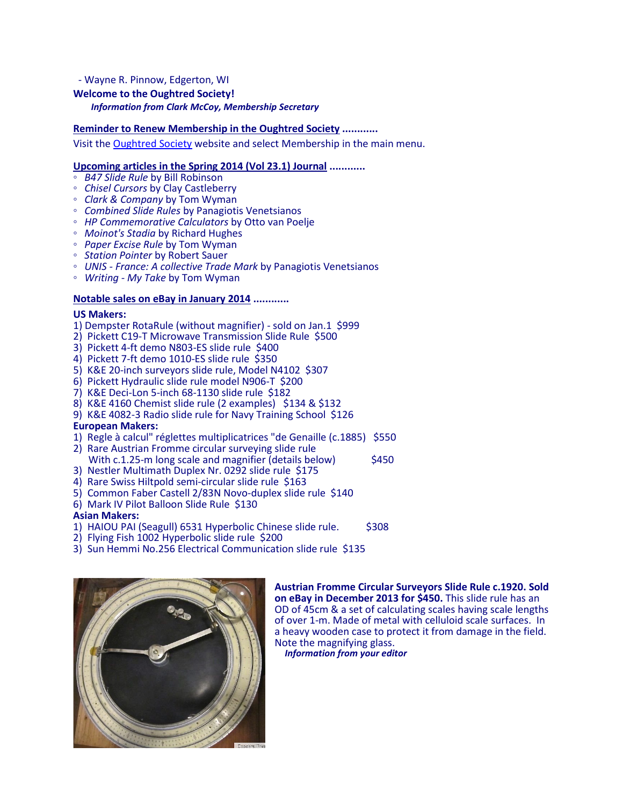# - Wayne R. Pinnow, Edgerton, WI **Welcome to the Oughtred Society!** *Information from Clark McCoy, Membership Secretary*

# **Reminder to Renew Membership in the Oughtred Society ............**

Visit the [Oughtred Society](http://www.oughtred.org/) website and select Membership in the main menu.

## **Upcoming articles in the Spring 2014 (Vol 23.1) Journal ............**

- 
- *B47 Slide Rule* by Bill Robinson
- *Chisel Cursors* by Clay Castleberry *Clark & Company* by Tom Wyman
- *Combined Slide Rules* by Panagiotis Venetsianos
- *HP Commemorative Calculators* by Otto van Poelje *Moinot's Stadia* by Richard Hughes
- 
- *Paper Excise Rule* by Tom Wyman
- 
- *Station Pointer* by Robert Sauer *UNIS - France: A collective Trade Mark* by Panagiotis Venetsianos
- *Writing - My Take* by Tom Wyman

### **Notable sales on eBay in January 2014 ............**

#### **US Makers:**

- 1) Dempster RotaRule (without magnifier) sold on Jan.1 \$999
- 2) Pickett C19-T Microwave Transmission Slide Rule \$500
- 3) Pickett 4-ft demo N803-ES slide rule \$400
- 4) Pickett 7-ft demo 1010-ES slide rule \$350
- 5) K&E 20-inch surveyors slide rule, Model N4102 \$307
- 6) Pickett Hydraulic slide rule model N906-T \$200
- 7) K&E Deci-Lon 5-inch 68-1130 slide rule \$182
- 8) K&E 4160 Chemist slide rule (2 examples) \$134 & \$132
- 9) K&E 4082-3 Radio slide rule for Navy Training School \$126

#### **European Makers:**

- 1) Regle à calcul" réglettes multiplicatrices "de Genaille (c.1885) \$550
- 2) Rare Austrian Fromme circular surveying slide rule
- With c.1.25-m long scale and magnifier (details below)  $$450$
- 3) Nestler Multimath Duplex Nr. 0292 slide rule \$175
- 4) Rare Swiss Hiltpold semi-circular slide rule \$163
- 5) Common Faber Castell 2/83N Novo-duplex slide rule \$140
- 6) Mark IV Pilot Balloon Slide Rule \$130

## **Asian Makers:**

- 1) HAIOU PAI (Seagull) 6531 Hyperbolic Chinese slide rule. \$308
- 2) Flying Fish 1002 Hyperbolic slide rule \$200
- 3) Sun Hemmi No.256 Electrical Communication slide rule \$135



**Austrian Fromme Circular Surveyors Slide Rule c.1920. Sold on eBay in December 2013 for \$450.** This slide rule has an OD of 45cm & a set of calculating scales having scale lengths of over 1-m. Made of metal with celluloid scale surfaces. In a heavy wooden case to protect it from damage in the field.<br>Note the magnifying glass. Information from your editor